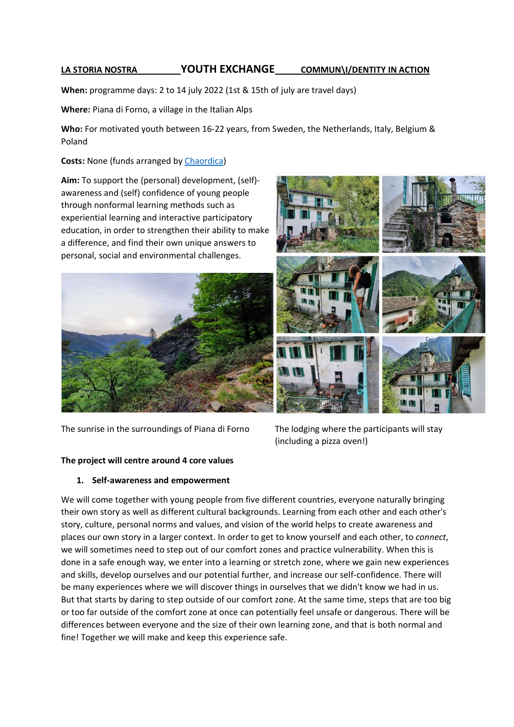# **LA STORIA NOSTRA YOUTH EXCHANGE COMMUN\I/DENTITY IN ACTION**

**When:** programme days: 2 to 14 july 2022 (1st & 15th of july are travel days)

**Where:** Piana di Forno, a village in the Italian Alps

**Who:** For motivated youth between 16-22 years, from Sweden, the Netherlands, Italy, Belgium & Poland

## **Costs:** None (funds arranged by [Chaordica\)](https://chaordica.com/)

**Aim:** To support the (personal) development, (self) awareness and (self) confidence of young people through nonformal learning methods such as experiential learning and interactive participatory education, in order to strengthen their ability to make a difference, and find their own unique answers to personal, social and environmental challenges.





The sunrise in the surroundings of Piana di Forno The lodging where the participants will stay

(including a pizza oven!)

### **The project will centre around 4 core values**

### **1. Self-awareness and empowerment**

We will come together with young people from five different countries, everyone naturally bringing their own story as well as different cultural backgrounds. Learning from each other and each other's story, culture, personal norms and values, and vision of the world helps to create awareness and places our own story in a larger context. In order to get to know yourself and each other, to *connect*, we will sometimes need to step out of our comfort zones and practice vulnerability. When this is done in a safe enough way, we enter into a learning or stretch zone, where we gain new experiences and skills, develop ourselves and our potential further, and increase our self-confidence. There will be many experiences where we will discover things in ourselves that we didn't know we had in us. But that starts by daring to step outside of our comfort zone. At the same time, steps that are too big or too far outside of the comfort zone at once can potentially feel unsafe or dangerous. There will be differences between everyone and the size of their own learning zone, and that is both normal and fine! Together we will make and keep this experience safe.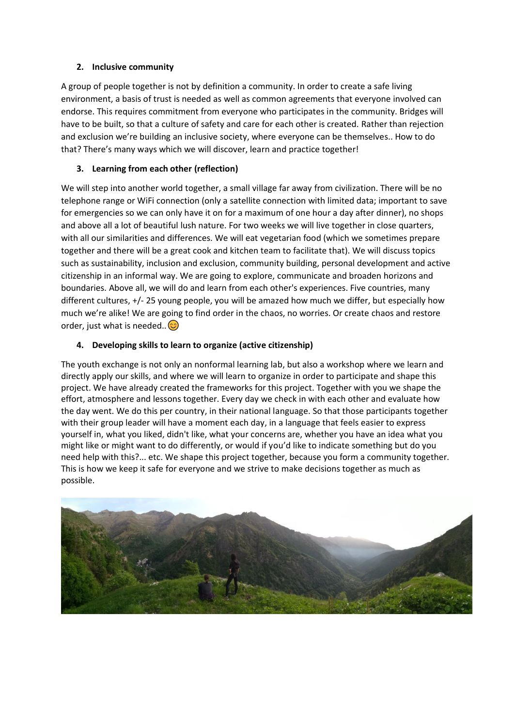## **2. Inclusive community**

A group of people together is not by definition a community. In order to create a safe living environment, a basis of trust is needed as well as common agreements that everyone involved can endorse. This requires commitment from everyone who participates in the community. Bridges will have to be built, so that a culture of safety and care for each other is created. Rather than rejection and exclusion we're building an inclusive society, where everyone can be themselves.. How to do that? There's many ways which we will discover, learn and practice together!

## **3. Learning from each other (reflection)**

We will step into another world together, a small village far away from civilization. There will be no telephone range or WiFi connection (only a satellite connection with limited data; important to save for emergencies so we can only have it on for a maximum of one hour a day after dinner), no shops and above all a lot of beautiful lush nature. For two weeks we will live together in close quarters, with all our similarities and differences. We will eat vegetarian food (which we sometimes prepare together and there will be a great cook and kitchen team to facilitate that). We will discuss topics such as sustainability, inclusion and exclusion, community building, personal development and active citizenship in an informal way. We are going to explore, communicate and broaden horizons and boundaries. Above all, we will do and learn from each other's experiences. Five countries, many different cultures, +/- 25 young people, you will be amazed how much we differ, but especially how much we're alike! We are going to find order in the chaos, no worries. Or create chaos and restore order, just what is needed.. $\circled{c}$ 

## **4. Developing skills to learn to organize (active citizenship)**

The youth exchange is not only an nonformal learning lab, but also a workshop where we learn and directly apply our skills, and where we will learn to organize in order to participate and shape this project. We have already created the frameworks for this project. Together with you we shape the effort, atmosphere and lessons together. Every day we check in with each other and evaluate how the day went. We do this per country, in their national language. So that those participants together with their group leader will have a moment each day, in a language that feels easier to express yourself in, what you liked, didn't like, what your concerns are, whether you have an idea what you might like or might want to do differently, or would if you'd like to indicate something but do you need help with this?... etc. We shape this project together, because you form a community together. This is how we keep it safe for everyone and we strive to make decisions together as much as possible.

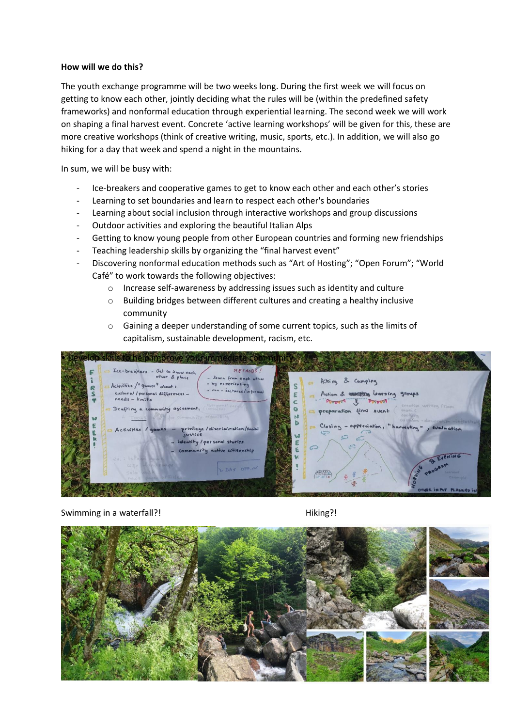#### **How will we do this?**

The youth exchange programme will be two weeks long. During the first week we will focus on getting to know each other, jointly deciding what the rules will be (within the predefined safety frameworks) and nonformal education through experiential learning. The second week we will work on shaping a final harvest event. Concrete 'active learning workshops' will be given for this, these are more creative workshops (think of creative writing, music, sports, etc.). In addition, we will also go hiking for a day that week and spend a night in the mountains.

In sum, we will be busy with:

- Ice-breakers and cooperative games to get to know each other and each other's stories
- Learning to set boundaries and learn to respect each other's boundaries
- Learning about social inclusion through interactive workshops and group discussions
- Outdoor activities and exploring the beautiful Italian Alps
- Getting to know young people from other European countries and forming new friendships
- Teaching leadership skills by organizing the "final harvest event"
- Discovering nonformal education methods such as "Art of Hosting"; "Open Forum"; "World Café" to work towards the following objectives:
	- o Increase self-awareness by addressing issues such as identity and culture
	- o Building bridges between different cultures and creating a healthy inclusive community
	- o Gaining a deeper understanding of some current topics, such as the limits of capitalism, sustainable development, racism, etc.



#### Swimming in a waterfall?! Swimming in a waterfall?!